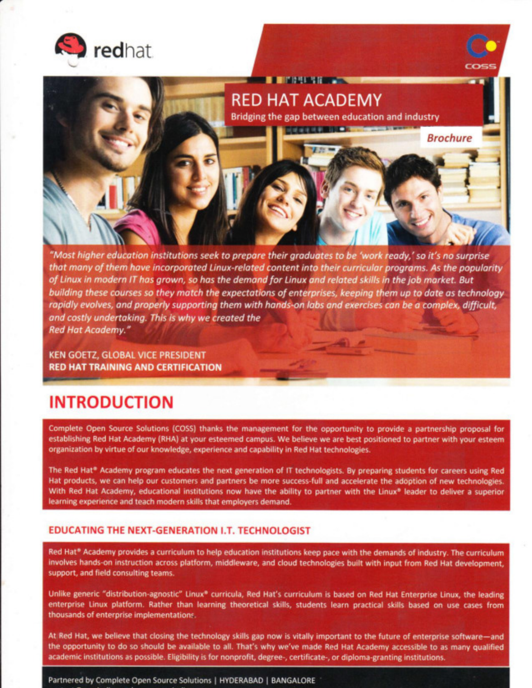

# **RED HAT ACADEMY**

Bridging the gap between education and industry

**Brochure** 

"Most higher education institutions seek to prepare their graduates to be 'work ready,' so it's no surprise that many of them have incorporated Linux-related content into their curricular programs. As the popularity of Linux in modern IT has grown, so has the demand for Linux and related skills in the job market. But building these courses so they match the expectations of enterprises, keeping them up to date as technology rapidly evolves, and properly supporting them with hands-on labs and exercises can be a complex, difficult, and costly undertaking. This is why we created the Red Hat Academy."

KEN GOETZ, GLOBAL VICE PRESIDENT **RED HAT TRAINING AND CERTIFICATION** 

## **INTRODUCTION**

Complete Open Source Solutions (COSS) thanks the management for the opportunity to provide a partnership proposal for establishing Red Hat Academy (RHA) at your esteemed campus. We believe we are best positioned to partner with your esteem organization by virtue of our knowledge, experience and capability in Red Hat technologies.

The Red Hat® Academy program educates the next generation of IT technologists. By preparing students for careers using Red Hat products, we can help our customers and partners be more success-full and accelerate the adoption of new technologies. With Red Hat Academy, educational institutions now have the ability to partner with the Linux® leader to deliver a superior learning experience and teach modern skills that employers demand.

#### **EDUCATING THE NEXT-GENERATION I.T. TECHNOLOGIST**

Red Hat® Academy provides a curriculum to help education institutions keep pace with the demands of industry. The curriculum involves hands-on instruction across platform, middleware, and cloud technologies built with input from Red Hat development, support, and field consulting teams.

Unlike generic "distribution-agnostic" Linux® curricula, Red Hat's curriculum is based on Red Hat Enterprise Linux, the leading enterprise Linux platform. Rather than learning theoretical skills, students learn practical skills based on use cases from thousands of enterprise implementations.

At Red Hat, we believe that closing the technology skills gap now is vitally important to the future of enterprise software-and the opportunity to do so should be available to all. That's why we've made Red Hat Academy accessible to as many qualified academic institutions as possible. Eligibility is for nonprofit, degree-, certificate-, or diploma-granting institutions.

Partnered by Complete Open Source Solutions | HYDERABAD | BANGALORE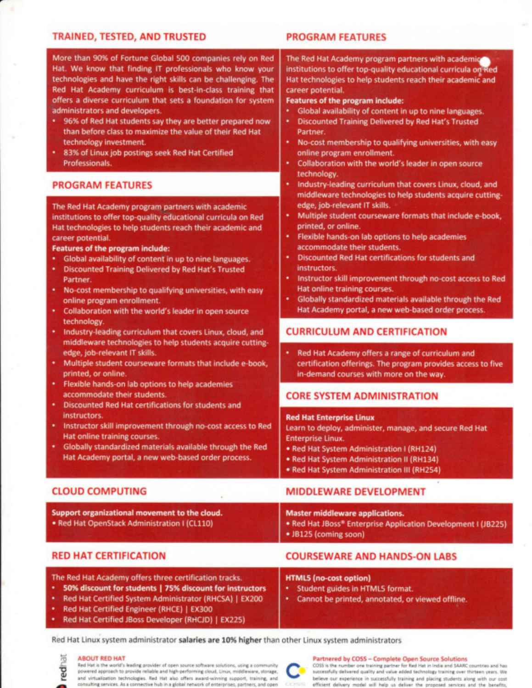#### TRAINED, TESTED, AND TRUSTED

#### PROGRAM FEATURES

Features of the program include:

online program enrollment.

edge, job-relevant IT skills.

accommodate their students.

Hat online training courses.

printed, or online.

career potential.

Partner.

technology.

instructors.

The Red Hat Academy program partners with academic

institutions to offer top-quality educational curricula on Red

Hat technologies to help students reach their academic and

Global availability of content in up to nine languages.

No-cost membership to qualifying universities, with easy

Industry-leading curriculum that covers Linux, cloud, and middleware technologies to help students acquire cutting-

Multiple student courseware formats that include e-book,

Instructor skill improvement through no-cost access to Red

Globally standardized materials available through the Red

certification offerings. The program provides access to five

Hat Academy portal, a new web-based order process.

Red Hat Academy offers a range of curriculum and

Learn to deploy, administer, manage, and secure Red Hat

Flexible hands-on lab options to help academies

**Discounted Red Hat certifications for students and** 

**Discounted Training Delivered by Red Hat's Trusted** 

Collaboration with the world's leader in open source

More than 90% of Fortune Global 500 companies rely on Red Hat. We know that finding IT professionals who know your technologies and have the right skills can be challenging. The Red Hat Academy curriculum is best-in-class training that offers a diverse curriculum that sets a foundation for system administrators and developers.

- 96% of Red Hat students say they are better prepared now than before class to maximize the value of their Red Hat technology investment.
- 83% of Linux job postings seek Red Hat Certified Professionals.

#### PROGRAM FEATURES

The Red Hat Academy program partners with academic institutions to offer top-quality educational curricula on Red Hat technologies to help students reach their academic and career potential.

#### Features of the program include:

- Global availability of content in up to nine languages.
- **Discounted Training Delivered by Red Hat's Trusted** Partner.
- No-cost membership to qualifying universities, with easy online program enrollment.
- Collaboration with the world's leader in open source technology.
- Industry-leading curriculum that covers Linux, cloud, and middleware technologies to help students acquire cuttingedge, job-relevant IT skills.
- Multiple student courseware formats that include e-book, printed, or online.
- Flexible hands-on lab options to help academies accommodate their students.
- Discounted Red Hat certifications for students and instructors.
- Instructor skill improvement through no-cost access to Red Hat online training courses.
- Globally standardized materials available through the Red Hat Academy portal, a new web-based order process.

#### CLOUD COMPUTING

| Support organizational movement to the cloud.<br>. Red Hat OpenStack Administration I (CL110) | <b>Master middleware applications.</b><br>. Red Hat JBoss* Enterprise Application Development I (JB225)<br>• JB125 (coming soon) |
|-----------------------------------------------------------------------------------------------|----------------------------------------------------------------------------------------------------------------------------------|
|                                                                                               |                                                                                                                                  |

#### RED HAT CERTIFICATION

### COURSEWARE AND HANDS.ON LABS

MIDDLEWARE DEVELOPMENT

**CURRICULUM AND CERTIFICATION** 

in-demand courses with more on the way.

**CORE SYSTEM ADMINISTRATION** 

• Red Hat System Administration I (RH124)

• Red Hat System Administration II (RH134) · Red Hat System Administration III (RH254)

The Red Hat Academy offers three certification tracks.

- 50% discount for students | 75% discount for instructors
- Red Hat Certified System Administrator (RHCSA) | EX200
- Red Hat Certified Engineer (RHCE) | EX300
- Red Hat Certified JBoss Developer (RHCJD) | EX225)

#### **HTML5** (no-cost option)

**Red Hat Enterprise Linux** 

**Enterprise Linux** 

- \* Student guides in HTML5 format.
- \* Cannot be printed, annotated, or viewed offline.

Red Hat Linux system administrator **salaries are 10% higher** than other Linux system administrator:

#### ABOUT RED HAT p ro redh

^

Red Hat is the world's leading provider of open source software solutions, using a community powered approach to provide reliable and high-performing cloud, Linux, middleware, storage, and virtualization technologies. Red Hat also offers award-winning support, training, and consulting services. As a connective hub in a global network of enterprises, partners, and open

#### Partnered by COSS - Complete Open Source Solutions

COSS is the number one training partner for Red Hat in India and SAARC countries and has successfully delivered quality and value added technology training over thirteen years. We believe our experience in successfully training and pacing students aiong with our cost efficient deliverv model will help us deliver the proposed services and the benefits,

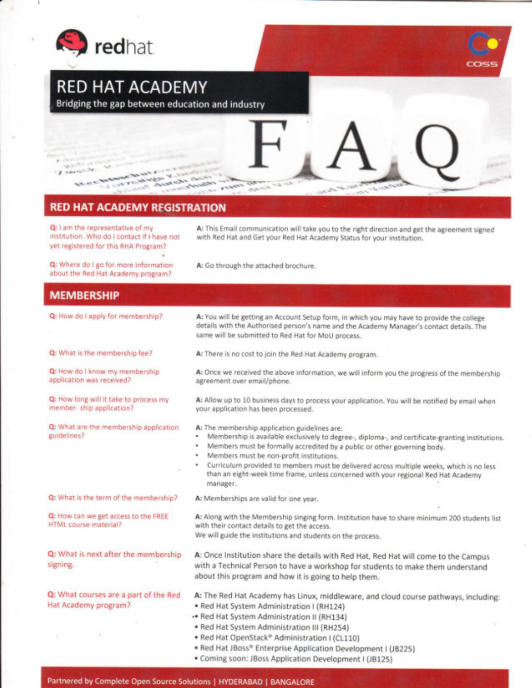

## **RED HAT ACADEMY**

Bridging the gap between education and industry



### **RED HAT ACADEMY REGISTRATION**

Q: I am the representative of my institution. Who do I contact if I have not yet registered for this RHA Program?

A: This Email communication will take you to the right direction and get the agreement signed with Red Hat and Get your Red Hat Academy Status for your institution.

Q: Where do I go for more information about the Red Hat Academy program?

A: Go through the attached brochure.

### **MEMBERSHIP**

| Q: How do I apply for membership?                                  | A: You will be getting an Account Setup form, in which you may have to provide the college<br>details with the Authorised person's name and the Academy Manager's contact details. The<br>same will be submitted to Red Hat for MoU process.                                                                                                                                                                                                                                                |
|--------------------------------------------------------------------|---------------------------------------------------------------------------------------------------------------------------------------------------------------------------------------------------------------------------------------------------------------------------------------------------------------------------------------------------------------------------------------------------------------------------------------------------------------------------------------------|
| Q: What is the membership fee?                                     | A: There is no cost to join the Red Hat Academy program.                                                                                                                                                                                                                                                                                                                                                                                                                                    |
| Q: How do I know my membership<br>application was received?        | A: Once we received the above information, we will inform you the progress of the membership<br>agreement over email/phone.                                                                                                                                                                                                                                                                                                                                                                 |
| Q: How long will it take to process my<br>member-ship application? | A: Allow up to 10 business days to process your application. You will be notified by email when<br>your application has been processed.                                                                                                                                                                                                                                                                                                                                                     |
| Q: What are the membership application<br>guidelines?              | A: The membership application guidelines are:<br>Membership is available exclusively to degree-, diploma-, and certificate-granting institutions.<br>۰<br>Members must be formally accredited by a public or other governing body.<br>٠<br>Members must be non-profit institutions.<br>٠<br>Curriculum provided to members must be delivered across multiple weeks, which is no less<br>٠<br>than an eight-week time frame, unless concerned with your regional Red Hat Academy<br>manager. |
| Q: What is the term of the membership?                             | A: Memberships are valid for one year.                                                                                                                                                                                                                                                                                                                                                                                                                                                      |
| Q: How can we get access to the FREE<br>HTML course material?      | A: Along with the Membership singing form. Institution have to share minimum 200 students list<br>with their contact details to get the access.<br>We will guide the institutions and students on the process.                                                                                                                                                                                                                                                                              |
| Q: What is next after the membership<br>signing.                   | A: Once Institution share the details with Red Hat, Red Hat will come to the Campus<br>with a Technical Person to have a workshop for students to make them understand<br>about this program and how it is going to help them.                                                                                                                                                                                                                                                              |
| Q: What courses are a part of the Red<br>Hat Academy program?      | A: The Red Hat Academy has Linux, middleware, and cloud course pathways, including:<br>· Red Hat System Administration I (RH124)<br>- Red Hat System Administration II (RH134)<br>· Red Hat System Administration III (RH254)                                                                                                                                                                                                                                                               |
|                                                                    | . Red Hat OpenStack® Administration I (CL110)<br>. Red Hat JBoss® Enterprise Application Development I (JB225)                                                                                                                                                                                                                                                                                                                                                                              |

. Coming soon:JBoss Application Development I (J8125)